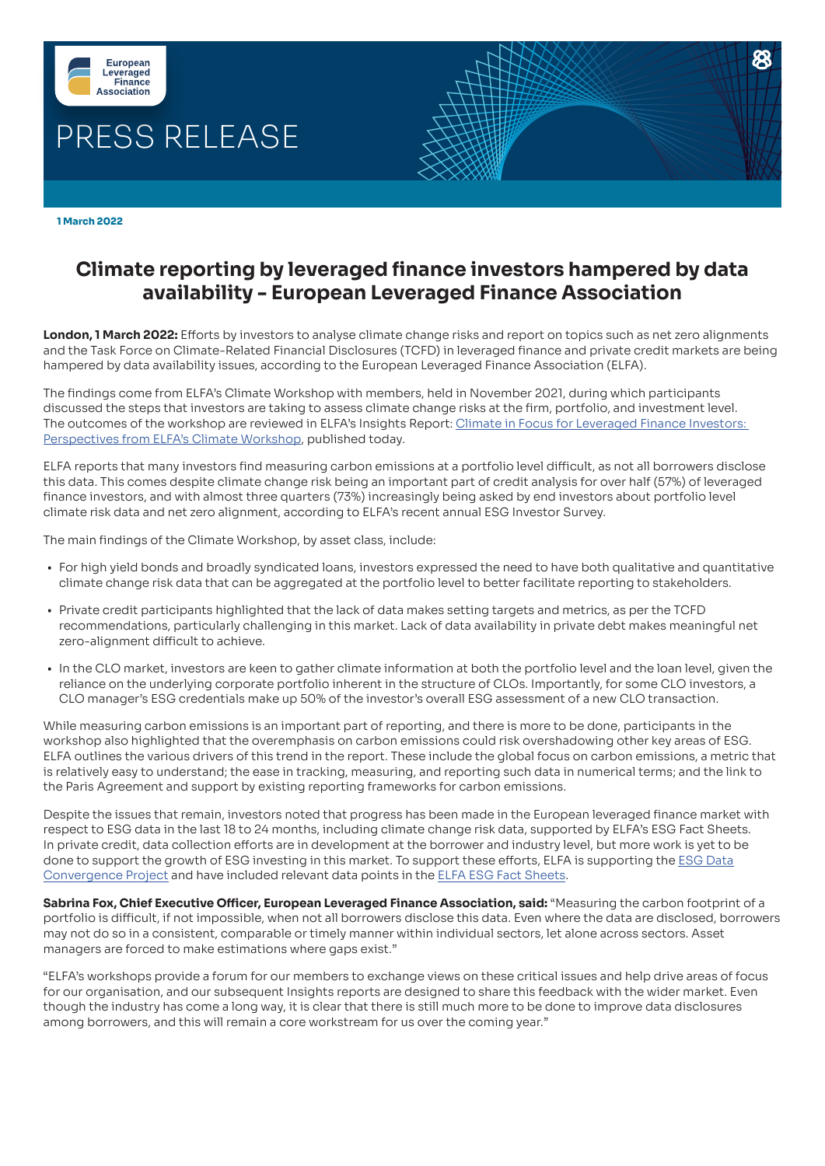

 **1 March 2022**

# **Climate reporting by leveraged finance investors hampered by data availability - European Leveraged Finance Association**

**London, 1 March 2022:** Efforts by investors to analyse climate change risks and report on topics such as net zero alignments and the Task Force on Climate-Related Financial Disclosures (TCFD) in leveraged finance and private credit markets are being hampered by data availability issues, according to the European Leveraged Finance Association (ELFA).

The findings come from ELFA's Climate Workshop with members, held in November 2021, during which participants discussed the steps that investors are taking to assess climate change risks at the firm, portfolio, and investment level. The outcomes of the workshop are reviewed in ELFA's Insights Report: [Climate in Focus for Leveraged Finance Investors:](https://elfainvestors.com/publications/elfa-insights/)  [Perspectives from ELFA's Climate Workshop](https://elfainvestors.com/publications/elfa-insights/), published today.

ELFA reports that many investors find measuring carbon emissions at a portfolio level difficult, as not all borrowers disclose this data. This comes despite climate change risk being an important part of credit analysis for over half (57%) of leveraged finance investors, and with almost three quarters (73%) increasingly being asked by end investors about portfolio level climate risk data and net zero alignment, according to ELFA's recent annual ESG Investor Survey.

The main findings of the Climate Workshop, by asset class, include:

- For high yield bonds and broadly syndicated loans, investors expressed the need to have both qualitative and quantitative climate change risk data that can be aggregated at the portfolio level to better facilitate reporting to stakeholders.
- Private credit participants highlighted that the lack of data makes setting targets and metrics, as per the TCFD recommendations, particularly challenging in this market. Lack of data availability in private debt makes meaningful net zero-alignment difficult to achieve.
- In the CLO market, investors are keen to gather climate information at both the portfolio level and the loan level, given the reliance on the underlying corporate portfolio inherent in the structure of CLOs. Importantly, for some CLO investors, a CLO manager's ESG credentials make up 50% of the investor's overall ESG assessment of a new CLO transaction.

While measuring carbon emissions is an important part of reporting, and there is more to be done, participants in the workshop also highlighted that the overemphasis on carbon emissions could risk overshadowing other key areas of ESG. ELFA outlines the various drivers of this trend in the report. These include the global focus on carbon emissions, a metric that is relatively easy to understand; the ease in tracking, measuring, and reporting such data in numerical terms; and the link to the Paris Agreement and support by existing reporting frameworks for carbon emissions.

Despite the issues that remain, investors noted that progress has been made in the European leveraged finance market with respect to ESG data in the last 18 to 24 months, including climate change risk data, supported by ELFA's ESG Fact Sheets. In private credit, data collection efforts are in development at the borrower and industry level, but more work is yet to be done to support the growth of ESG investing in this market. To support these efforts, ELFA is supporting the [ESG Data](https://ilpa.org/ilpa_esg_roadmap/esg_data_convergence_project/)  [Convergence Project](https://ilpa.org/ilpa_esg_roadmap/esg_data_convergence_project/) and have included relevant data points in the [ELFA ESG Fact Sheets](https://elfainvestors.com/publications/elfa-diligence/).

**Sabrina Fox, Chief Executive Officer, European Leveraged Finance Association, said:** "Measuring the carbon footprint of a portfolio is difficult, if not impossible, when not all borrowers disclose this data. Even where the data are disclosed, borrowers may not do so in a consistent, comparable or timely manner within individual sectors, let alone across sectors. Asset managers are forced to make estimations where gaps exist."

"ELFA's workshops provide a forum for our members to exchange views on these critical issues and help drive areas of focus for our organisation, and our subsequent Insights reports are designed to share this feedback with the wider market. Even though the industry has come a long way, it is clear that there is still much more to be done to improve data disclosures among borrowers, and this will remain a core workstream for us over the coming year."